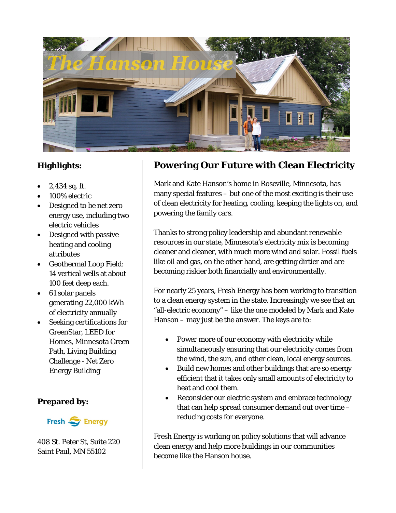

#### **Highlights:**

- $2,434$  sq. ft.
- 100% electric
- Designed to be net zero energy use, including two electric vehicles
- Designed with passive heating and cooling attributes
- Geothermal Loop Field: 14 vertical wells at about 100 feet deep each.
- 61 solar panels generating 22,000 kWh of electricity annually
- Seeking certifications for GreenStar, LEED for Homes, Minnesota Green Path, Living Building Challenge - Net Zero Energy Building

#### **Prepared by:**

Fresh S Energy

408 St. Peter St, Suite 220 Saint Paul, MN 55102

### **Powering Our Future with Clean Electricity**

Mark and Kate Hanson's home in Roseville, Minnesota, has many special features – but one of the most exciting is their use of clean electricity for heating, cooling, keeping the lights on, and powering the family cars.

Thanks to strong policy leadership and abundant renewable resources in our state, Minnesota's electricity mix is becoming cleaner and cleaner, with much more wind and solar. Fossil fuels like oil and gas, on the other hand, are getting dirtier and are becoming riskier both financially and environmentally.

For nearly 25 years, Fresh Energy has been working to transition to a clean energy system in the state. Increasingly we see that an "all-electric economy" – like the one modeled by Mark and Kate Hanson – may just be the answer. The keys are to:

- Power more of our economy with electricity while simultaneously ensuring that our electricity comes from the wind, the sun, and other clean, local energy sources.
- Build new homes and other buildings that are so energy efficient that it takes only small amounts of electricity to heat and cool them.
- Reconsider our electric system and embrace technology that can help spread consumer demand out over time – reducing costs for everyone.

Fresh Energy is working on policy solutions that will advance clean energy and help more buildings in our communities become like the Hanson house.